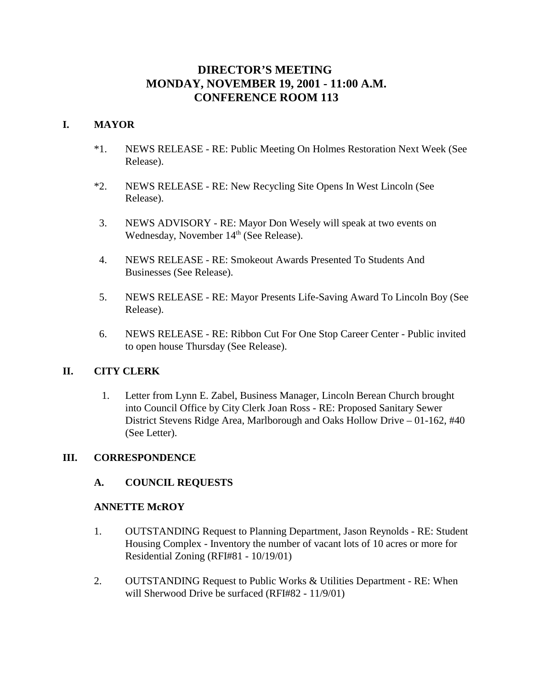# **DIRECTOR'S MEETING MONDAY, NOVEMBER 19, 2001 - 11:00 A.M. CONFERENCE ROOM 113**

## **I. MAYOR**

- \*1. NEWS RELEASE RE: Public Meeting On Holmes Restoration Next Week (See Release).
- \*2. NEWS RELEASE RE: New Recycling Site Opens In West Lincoln (See Release).
- 3. NEWS ADVISORY RE: Mayor Don Wesely will speak at two events on Wednesday, November 14<sup>th</sup> (See Release).
- 4. NEWS RELEASE RE: Smokeout Awards Presented To Students And Businesses (See Release).
- 5. NEWS RELEASE RE: Mayor Presents Life-Saving Award To Lincoln Boy (See Release).
- 6. NEWS RELEASE RE: Ribbon Cut For One Stop Career Center Public invited to open house Thursday (See Release).

## **II. CITY CLERK**

 1. Letter from Lynn E. Zabel, Business Manager, Lincoln Berean Church brought into Council Office by City Clerk Joan Ross - RE: Proposed Sanitary Sewer District Stevens Ridge Area, Marlborough and Oaks Hollow Drive – 01-162, #40 (See Letter).

## **III. CORRESPONDENCE**

## **A. COUNCIL REQUESTS**

#### **ANNETTE McROY**

- 1. OUTSTANDING Request to Planning Department, Jason Reynolds RE: Student Housing Complex - Inventory the number of vacant lots of 10 acres or more for Residential Zoning (RFI#81 - 10/19/01)
- 2. OUTSTANDING Request to Public Works & Utilities Department RE: When will Sherwood Drive be surfaced (RFI#82 - 11/9/01)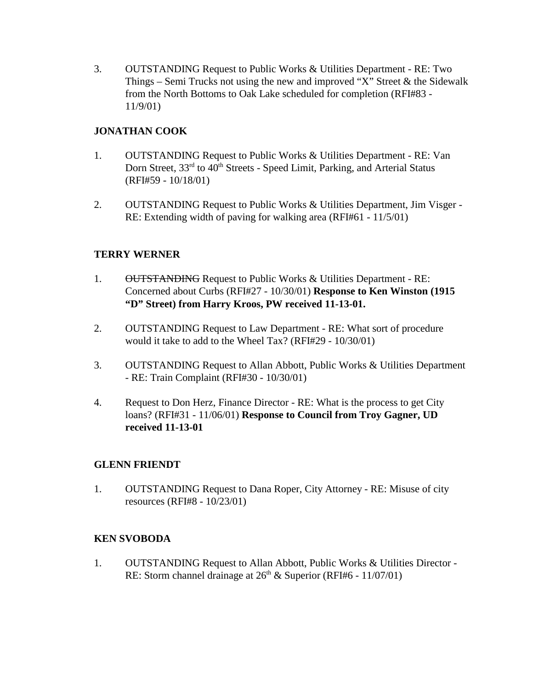3. OUTSTANDING Request to Public Works & Utilities Department - RE: Two Things – Semi Trucks not using the new and improved "X" Street  $\&$  the Sidewalk from the North Bottoms to Oak Lake scheduled for completion (RFI#83 - 11/9/01)

## **JONATHAN COOK**

- 1. OUTSTANDING Request to Public Works & Utilities Department RE: Van Dorn Street, 33<sup>rd</sup> to 40<sup>th</sup> Streets - Speed Limit, Parking, and Arterial Status (RFI#59 - 10/18/01)
- 2. OUTSTANDING Request to Public Works & Utilities Department, Jim Visger RE: Extending width of paving for walking area (RFI#61 - 11/5/01)

## **TERRY WERNER**

- 1. OUTSTANDING Request to Public Works & Utilities Department RE: Concerned about Curbs (RFI#27 - 10/30/01) **Response to Ken Winston (1915 "D" Street) from Harry Kroos, PW received 11-13-01.**
- 2. OUTSTANDING Request to Law Department RE: What sort of procedure would it take to add to the Wheel Tax? (RFI#29 - 10/30/01)
- 3. OUTSTANDING Request to Allan Abbott, Public Works & Utilities Department - RE: Train Complaint (RFI#30 - 10/30/01)
- 4. Request to Don Herz, Finance Director RE: What is the process to get City loans? (RFI#31 - 11/06/01) **Response to Council from Troy Gagner, UD received 11-13-01**

## **GLENN FRIENDT**

1. OUTSTANDING Request to Dana Roper, City Attorney - RE: Misuse of city resources (RFI#8 - 10/23/01)

## **KEN SVOBODA**

1. OUTSTANDING Request to Allan Abbott, Public Works & Utilities Director - RE: Storm channel drainage at  $26<sup>th</sup>$  & Superior (RFI#6 - 11/07/01)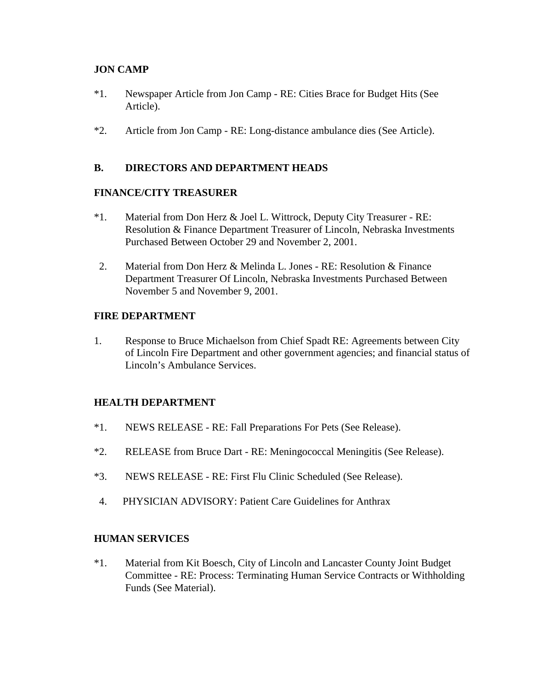## **JON CAMP**

- \*1. Newspaper Article from Jon Camp RE: Cities Brace for Budget Hits (See Article).
- \*2. Article from Jon Camp RE: Long-distance ambulance dies (See Article).

## **B. DIRECTORS AND DEPARTMENT HEADS**

## **FINANCE/CITY TREASURER**

- \*1. Material from Don Herz & Joel L. Wittrock, Deputy City Treasurer RE: Resolution & Finance Department Treasurer of Lincoln, Nebraska Investments Purchased Between October 29 and November 2, 2001.
- 2. Material from Don Herz & Melinda L. Jones RE: Resolution & Finance Department Treasurer Of Lincoln, Nebraska Investments Purchased Between November 5 and November 9, 2001.

## **FIRE DEPARTMENT**

1. Response to Bruce Michaelson from Chief Spadt RE: Agreements between City of Lincoln Fire Department and other government agencies; and financial status of Lincoln's Ambulance Services.

## **HEALTH DEPARTMENT**

- \*1. NEWS RELEASE RE: Fall Preparations For Pets (See Release).
- \*2. RELEASE from Bruce Dart RE: Meningococcal Meningitis (See Release).
- \*3. NEWS RELEASE RE: First Flu Clinic Scheduled (See Release).
- 4. PHYSICIAN ADVISORY: Patient Care Guidelines for Anthrax

## **HUMAN SERVICES**

\*1. Material from Kit Boesch, City of Lincoln and Lancaster County Joint Budget Committee - RE: Process: Terminating Human Service Contracts or Withholding Funds (See Material).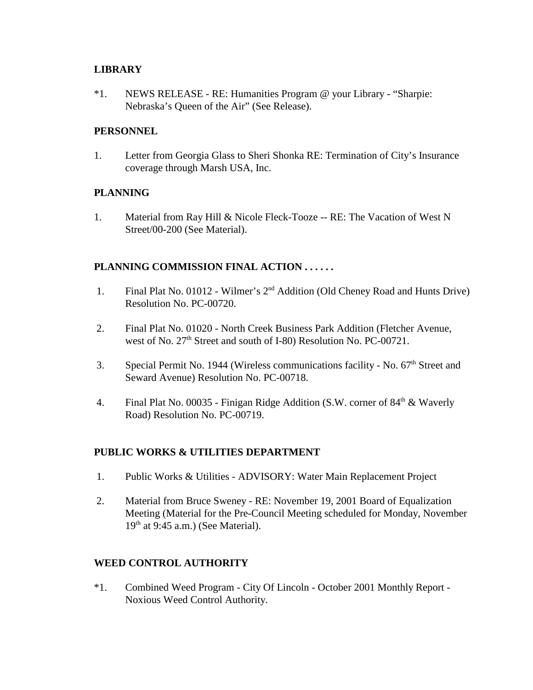#### **LIBRARY**

\*1. NEWS RELEASE - RE: Humanities Program @ your Library - "Sharpie: Nebraska's Queen of the Air" (See Release).

#### **PERSONNEL**

1. Letter from Georgia Glass to Sheri Shonka RE: Termination of City's Insurance coverage through Marsh USA, Inc.

#### **PLANNING**

1. Material from Ray Hill & Nicole Fleck-Tooze -- RE: The Vacation of West N Street/00-200 (See Material).

## **PLANNING COMMISSION FINAL ACTION . . . . . .**

- 1. Final Plat No. 01012 Wilmer's 2nd Addition (Old Cheney Road and Hunts Drive) Resolution No. PC-00720.
- 2. Final Plat No. 01020 North Creek Business Park Addition (Fletcher Avenue, west of No. 27<sup>th</sup> Street and south of I-80) Resolution No. PC-00721.
- 3. Special Permit No. 1944 (Wireless communications facility No.  $67<sup>th</sup>$  Street and Seward Avenue) Resolution No. PC-00718.
- 4. Final Plat No. 00035 Finigan Ridge Addition (S.W. corner of  $84<sup>th</sup>$  & Waverly Road) Resolution No. PC-00719.

## **PUBLIC WORKS & UTILITIES DEPARTMENT**

- 1. Public Works & Utilities ADVISORY: Water Main Replacement Project
- 2. Material from Bruce Sweney RE: November 19, 2001 Board of Equalization Meeting (Material for the Pre-Council Meeting scheduled for Monday, November  $19<sup>th</sup>$  at 9:45 a.m.) (See Material).

## **WEED CONTROL AUTHORITY**

\*1. Combined Weed Program - City Of Lincoln - October 2001 Monthly Report - Noxious Weed Control Authority.